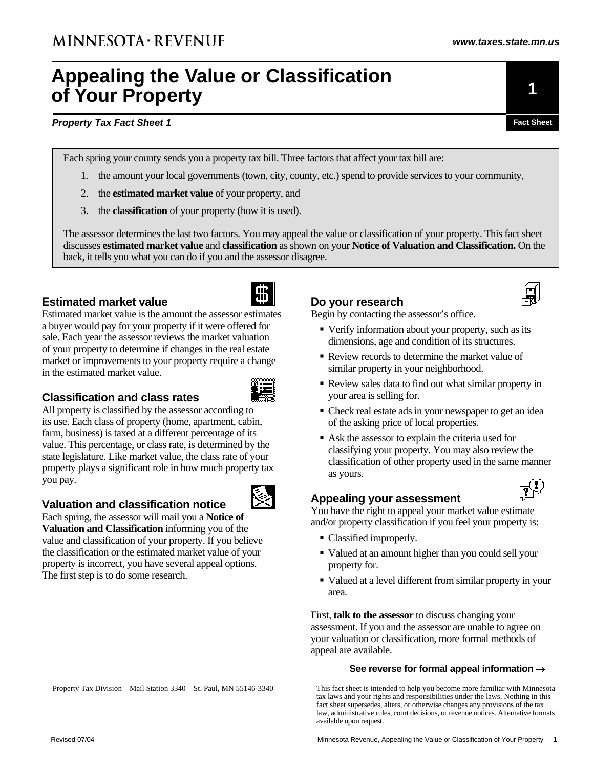# **Appealing the Value or Classification of Your Property**

#### **Property Tax Fact Sheet 1 Fact Sheet 1 Fact Sheet Fact Sheet Fact Sheet Fact Sheet**

Each spring your county sends you a property tax bill. Three factors that affect your tax bill are:

- 1. the amount your local governments (town, city, county, etc.) spend to provide services to your community,
- 2. the **estimated market value** of your property, and
- 3. the **classification** of your property (how it is used).

The assessor determines the last two factors. You may appeal the value or classification of your property. This fact sheet discusses **estimated market value** and **classification** as shown on your **Notice of Valuation and Classification.** On the back, it tells you what you can do if you and the assessor disagree.

#### **Estimated market value**



Estimated market value is the amount the assessor estimates a buyer would pay for your property if it were offered for sale. Each year the assessor reviews the market valuation of your property to determine if changes in the real estate market or improvements to your property require a change in the estimated market value.



#### **Classification and class rates**

All property is classified by the assessor according to its use. Each class of property (home, apartment, cabin, farm, business) is taxed at a different percentage of its value. This percentage, or class rate, is determined by the state legislature. Like market value, the class rate of your property plays a significant role in how much property tax you pay.

### **Valuation and classification notice**

Each spring, the assessor will mail you a **Notice of Valuation and Classification** informing you of the value and classification of your property. If you believe the classification or the estimated market value of your property is incorrect, you have several appeal options. The first step is to do some research.

#### **Do your research**

Begin by contacting the assessor's office.

- Verify information about your property, such as its dimensions, age and condition of its structures.
- Review records to determine the market value of similar property in your neighborhood.
- Review sales data to find out what similar property in your area is selling for.
- Check real estate ads in your newspaper to get an idea of the asking price of local properties.
- Ask the assessor to explain the criteria used for classifying your property. You may also review the classification of other property used in the same manner as yours.

#### **Appealing your assessment**

You have the right to appeal your market value estimate and/or property classification if you feel your property is:

- Classified improperly.
- Valued at an amount higher than you could sell your property for.
- Valued at a level different from similar property in your area.

First, **talk to the assessor** to discuss changing your assessment. If you and the assessor are unable to agree on your valuation or classification, more formal methods of appeal are available.

#### **See reverse for formal appeal information** →

This fact sheet is intended to help you become more familiar with Minnesota tax laws and your rights and responsibilities under the laws. Nothing in this fact sheet supersedes, alters, or otherwise changes any provisions of the tax law, administrative rules, court decisions, or revenue notices. Alternative formats available upon request.

Property Tax Division – Mail Station 3340 – St. Paul, MN 55146-3340